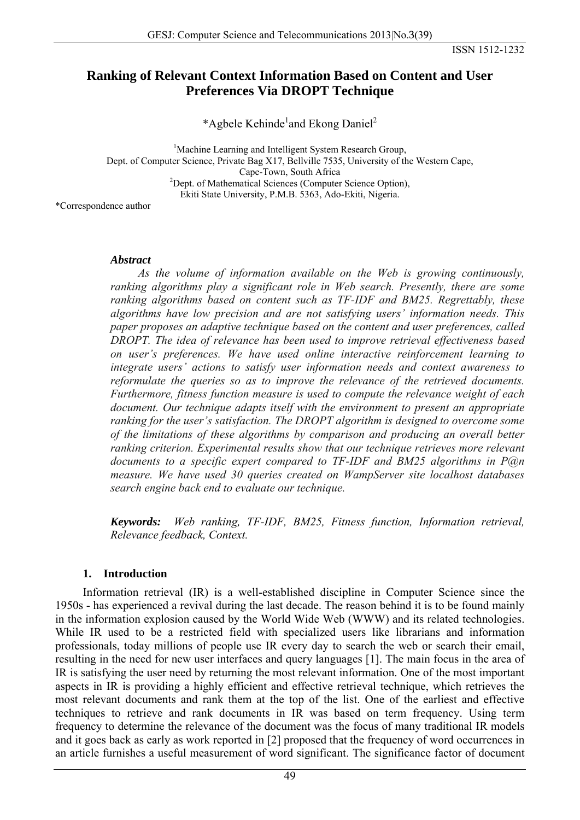# **Ranking of Relevant Context Information Based on Content and User Preferences Via DROPT Technique**

\*Agbele Kehinde<sup>1</sup> and Ekong Daniel<sup>2</sup>

<sup>1</sup>Machine Learning and Intelligent System Research Group, Dept. of Computer Science, Private Bag X17, Bellville 7535, University of the Western Cape, Cape-Town, South Africa 2 <sup>2</sup>Dept. of Mathematical Sciences (Computer Science Option), Ekiti State University, P.M.B. 5363, Ado-Ekiti, Nigeria.

\*Correspondence author

## *Abstract*

*As the volume of information available on the Web is growing continuously, ranking algorithms play a significant role in Web search. Presently, there are some ranking algorithms based on content such as TF-IDF and BM25. Regrettably, these algorithms have low precision and are not satisfying users' information needs. This paper proposes an adaptive technique based on the content and user preferences, called DROPT. The idea of relevance has been used to improve retrieval effectiveness based on user's preferences. We have used online interactive reinforcement learning to integrate users' actions to satisfy user information needs and context awareness to reformulate the queries so as to improve the relevance of the retrieved documents. Furthermore, fitness function measure is used to compute the relevance weight of each document. Our technique adapts itself with the environment to present an appropriate ranking for the user's satisfaction. The DROPT algorithm is designed to overcome some of the limitations of these algorithms by comparison and producing an overall better ranking criterion. Experimental results show that our technique retrieves more relevant documents to a specific expert compared to TF-IDF and BM25 algorithms in P@n measure. We have used 30 queries created on WampServer site localhost databases search engine back end to evaluate our technique.* 

*Keywords: Web ranking, TF-IDF, BM25, Fitness function, Information retrieval, Relevance feedback, Context.* 

## **1. Introduction**

Information retrieval (IR) is a well-established discipline in Computer Science since the 1950s - has experienced a revival during the last decade. The reason behind it is to be found mainly in the information explosion caused by the World Wide Web (WWW) and its related technologies. While IR used to be a restricted field with specialized users like librarians and information professionals, today millions of people use IR every day to search the web or search their email, resulting in the need for new user interfaces and query languages [1]. The main focus in the area of IR is satisfying the user need by returning the most relevant information. One of the most important aspects in IR is providing a highly efficient and effective retrieval technique, which retrieves the most relevant documents and rank them at the top of the list. One of the earliest and effective techniques to retrieve and rank documents in IR was based on term frequency. Using term frequency to determine the relevance of the document was the focus of many traditional IR models and it goes back as early as work reported in [2] proposed that the frequency of word occurrences in an article furnishes a useful measurement of word significant. The significance factor of document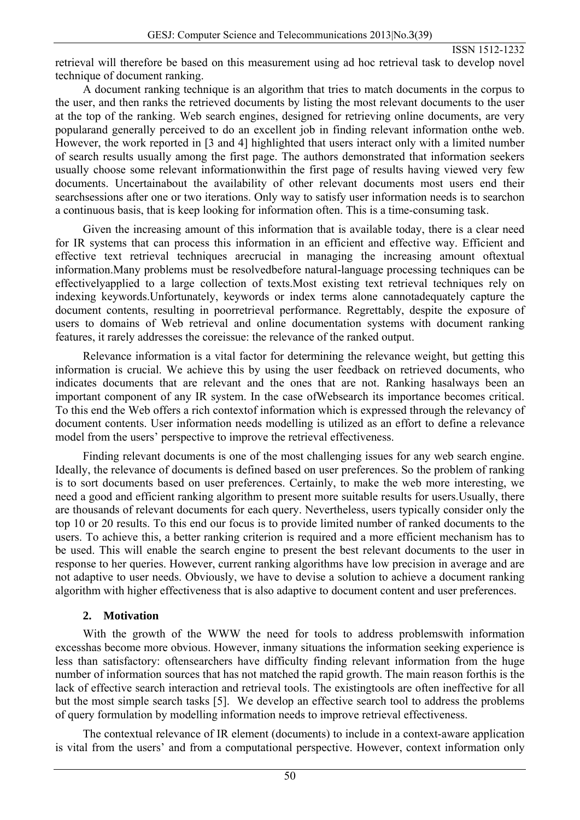retrieval will therefore be based on this measurement using ad hoc retrieval task to develop novel technique of document ranking.

A document ranking technique is an algorithm that tries to match documents in the corpus to the user, and then ranks the retrieved documents by listing the most relevant documents to the user at the top of the ranking. Web search engines, designed for retrieving online documents, are very popularand generally perceived to do an excellent job in finding relevant information onthe web. However, the work reported in [3 and 4] highlighted that users interact only with a limited number of search results usually among the first page. The authors demonstrated that information seekers usually choose some relevant informationwithin the first page of results having viewed very few documents. Uncertainabout the availability of other relevant documents most users end their searchsessions after one or two iterations. Only way to satisfy user information needs is to searchon a continuous basis, that is keep looking for information often. This is a time-consuming task.

Given the increasing amount of this information that is available today, there is a clear need for IR systems that can process this information in an efficient and effective way. Efficient and effective text retrieval techniques arecrucial in managing the increasing amount oftextual information.Many problems must be resolvedbefore natural-language processing techniques can be effectivelyapplied to a large collection of texts.Most existing text retrieval techniques rely on indexing keywords.Unfortunately, keywords or index terms alone cannotadequately capture the document contents, resulting in poorretrieval performance. Regrettably, despite the exposure of users to domains of Web retrieval and online documentation systems with document ranking features, it rarely addresses the coreissue: the relevance of the ranked output.

Relevance information is a vital factor for determining the relevance weight, but getting this information is crucial. We achieve this by using the user feedback on retrieved documents, who indicates documents that are relevant and the ones that are not. Ranking hasalways been an important component of any IR system. In the case ofWebsearch its importance becomes critical. To this end the Web offers a rich contextof information which is expressed through the relevancy of document contents. User information needs modelling is utilized as an effort to define a relevance model from the users' perspective to improve the retrieval effectiveness.

Finding relevant documents is one of the most challenging issues for any web search engine. Ideally, the relevance of documents is defined based on user preferences. So the problem of ranking is to sort documents based on user preferences. Certainly, to make the web more interesting, we need a good and efficient ranking algorithm to present more suitable results for users.Usually, there are thousands of relevant documents for each query. Nevertheless, users typically consider only the top 10 or 20 results. To this end our focus is to provide limited number of ranked documents to the users. To achieve this, a better ranking criterion is required and a more efficient mechanism has to be used. This will enable the search engine to present the best relevant documents to the user in response to her queries. However, current ranking algorithms have low precision in average and are not adaptive to user needs. Obviously, we have to devise a solution to achieve a document ranking algorithm with higher effectiveness that is also adaptive to document content and user preferences.

## **2. Motivation**

With the growth of the WWW the need for tools to address problemswith information excesshas become more obvious. However, inmany situations the information seeking experience is less than satisfactory: oftensearchers have difficulty finding relevant information from the huge number of information sources that has not matched the rapid growth. The main reason forthis is the lack of effective search interaction and retrieval tools. The existingtools are often ineffective for all but the most simple search tasks [5]. We develop an effective search tool to address the problems of query formulation by modelling information needs to improve retrieval effectiveness.

The contextual relevance of IR element (documents) to include in a context-aware application is vital from the users' and from a computational perspective. However, context information only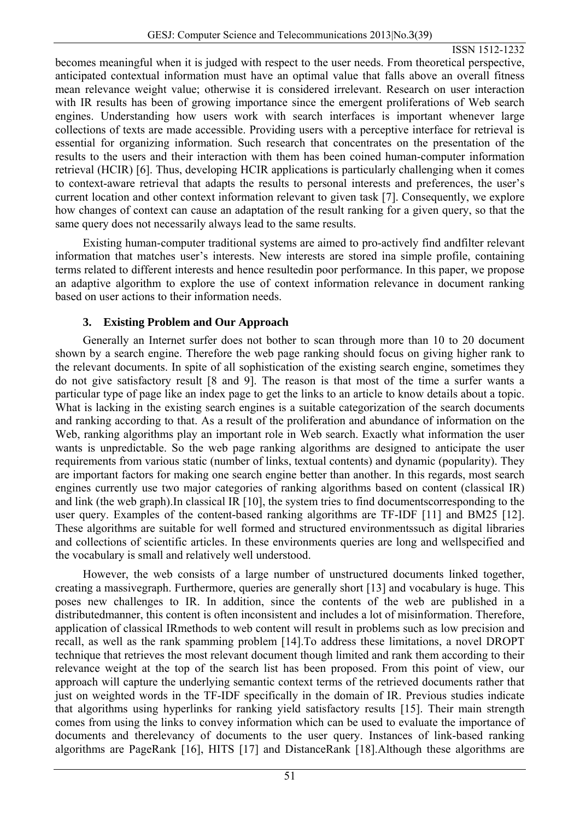becomes meaningful when it is judged with respect to the user needs. From theoretical perspective, anticipated contextual information must have an optimal value that falls above an overall fitness mean relevance weight value; otherwise it is considered irrelevant. Research on user interaction with IR results has been of growing importance since the emergent proliferations of Web search engines. Understanding how users work with search interfaces is important whenever large collections of texts are made accessible. Providing users with a perceptive interface for retrieval is essential for organizing information. Such research that concentrates on the presentation of the results to the users and their interaction with them has been coined human-computer information retrieval (HCIR) [6]. Thus, developing HCIR applications is particularly challenging when it comes to context-aware retrieval that adapts the results to personal interests and preferences, the user's current location and other context information relevant to given task [7]. Consequently, we explore how changes of context can cause an adaptation of the result ranking for a given query, so that the same query does not necessarily always lead to the same results.

Existing human-computer traditional systems are aimed to pro-actively find andfilter relevant information that matches user's interests. New interests are stored ina simple profile, containing terms related to different interests and hence resultedin poor performance. In this paper, we propose an adaptive algorithm to explore the use of context information relevance in document ranking based on user actions to their information needs.

## **3. Existing Problem and Our Approach**

Generally an Internet surfer does not bother to scan through more than 10 to 20 document shown by a search engine. Therefore the web page ranking should focus on giving higher rank to the relevant documents. In spite of all sophistication of the existing search engine, sometimes they do not give satisfactory result [8 and 9]. The reason is that most of the time a surfer wants a particular type of page like an index page to get the links to an article to know details about a topic. What is lacking in the existing search engines is a suitable categorization of the search documents and ranking according to that. As a result of the proliferation and abundance of information on the Web, ranking algorithms play an important role in Web search. Exactly what information the user wants is unpredictable. So the web page ranking algorithms are designed to anticipate the user requirements from various static (number of links, textual contents) and dynamic (popularity). They are important factors for making one search engine better than another. In this regards, most search engines currently use two major categories of ranking algorithms based on content (classical IR) and link (the web graph).In classical IR [10], the system tries to find documentscorresponding to the user query. Examples of the content-based ranking algorithms are TF-IDF [11] and BM25 [12]. These algorithms are suitable for well formed and structured environmentssuch as digital libraries and collections of scientific articles. In these environments queries are long and wellspecified and the vocabulary is small and relatively well understood.

However, the web consists of a large number of unstructured documents linked together, creating a massivegraph. Furthermore, queries are generally short [13] and vocabulary is huge. This poses new challenges to IR. In addition, since the contents of the web are published in a distributedmanner, this content is often inconsistent and includes a lot of misinformation. Therefore, application of classical IRmethods to web content will result in problems such as low precision and recall, as well as the rank spamming problem [14].To address these limitations, a novel DROPT technique that retrieves the most relevant document though limited and rank them according to their relevance weight at the top of the search list has been proposed. From this point of view, our approach will capture the underlying semantic context terms of the retrieved documents rather that just on weighted words in the TF-IDF specifically in the domain of IR. Previous studies indicate that algorithms using hyperlinks for ranking yield satisfactory results [15]. Their main strength comes from using the links to convey information which can be used to evaluate the importance of documents and therelevancy of documents to the user query. Instances of link-based ranking algorithms are PageRank [16], HITS [17] and DistanceRank [18].Although these algorithms are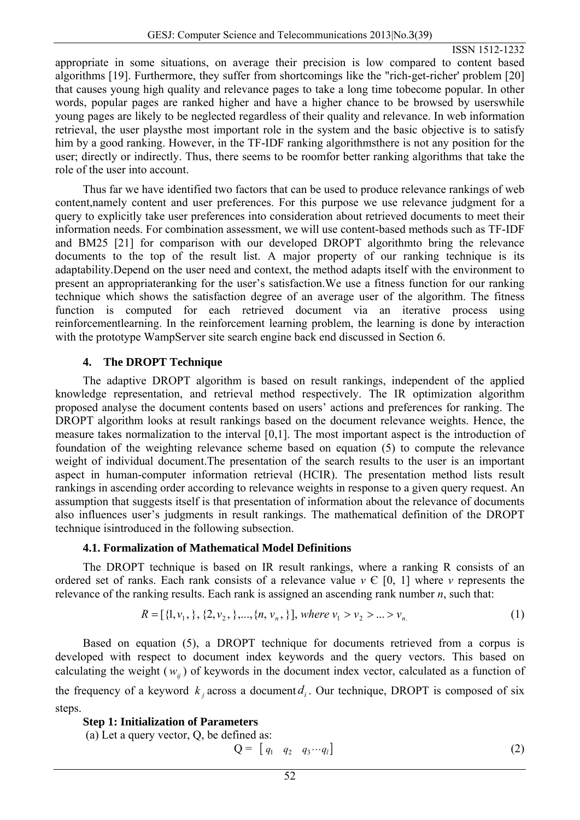appropriate in some situations, on average their precision is low compared to content based algorithms [19]. Furthermore, they suffer from shortcomings like the "rich-get-richer' problem [20] that causes young high quality and relevance pages to take a long time tobecome popular. In other words, popular pages are ranked higher and have a higher chance to be browsed by userswhile young pages are likely to be neglected regardless of their quality and relevance. In web information retrieval, the user playsthe most important role in the system and the basic objective is to satisfy him by a good ranking. However, in the TF-IDF ranking algorithmsthere is not any position for the user; directly or indirectly. Thus, there seems to be roomfor better ranking algorithms that take the role of the user into account.

Thus far we have identified two factors that can be used to produce relevance rankings of web content,namely content and user preferences. For this purpose we use relevance judgment for a query to explicitly take user preferences into consideration about retrieved documents to meet their information needs. For combination assessment, we will use content-based methods such as TF-IDF and BM25 [21] for comparison with our developed DROPT algorithmto bring the relevance documents to the top of the result list. A major property of our ranking technique is its adaptability.Depend on the user need and context, the method adapts itself with the environment to present an appropriateranking for the user's satisfaction.We use a fitness function for our ranking technique which shows the satisfaction degree of an average user of the algorithm. The fitness function is computed for each retrieved document via an iterative process using reinforcementlearning. In the reinforcement learning problem, the learning is done by interaction with the prototype WampServer site search engine back end discussed in Section 6.

## **4. The DROPT Technique**

The adaptive DROPT algorithm is based on result rankings, independent of the applied knowledge representation, and retrieval method respectively. The IR optimization algorithm proposed analyse the document contents based on users' actions and preferences for ranking. The DROPT algorithm looks at result rankings based on the document relevance weights. Hence, the measure takes normalization to the interval [0,1]. The most important aspect is the introduction of foundation of the weighting relevance scheme based on equation (5) to compute the relevance weight of individual document.The presentation of the search results to the user is an important aspect in human-computer information retrieval (HCIR). The presentation method lists result rankings in ascending order according to relevance weights in response to a given query request. An assumption that suggests itself is that presentation of information about the relevance of documents also influences user's judgments in result rankings. The mathematical definition of the DROPT technique isintroduced in the following subsection.

## **4.1. Formalization of Mathematical Model Definitions**

The DROPT technique is based on IR result rankings, where a ranking R consists of an ordered set of ranks. Each rank consists of a relevance value  $v \in [0, 1]$  where *v* represents the relevance of the ranking results. Each rank is assigned an ascending rank number *n*, such that:

$$
R = [{1, v1, }, {2, v2, }, ..., {n, vn, }]], where v1 > v2 > ... > vn \tag{1}
$$

Based on equation (5), a DROPT technique for documents retrieved from a corpus is developed with respect to document index keywords and the query vectors. This based on calculating the weight  $(w_{ij})$  of keywords in the document index vector, calculated as a function of the frequency of a keyword  $k_j$  across a document  $d_i$ . Our technique, DROPT is composed of six steps.

## **Step 1: Initialization of Parameters**

(a) Let a query vector, Q, be defined as:

$$
Q = [q_1 \quad q_2 \quad q_3 \cdots q_l]
$$
 (2)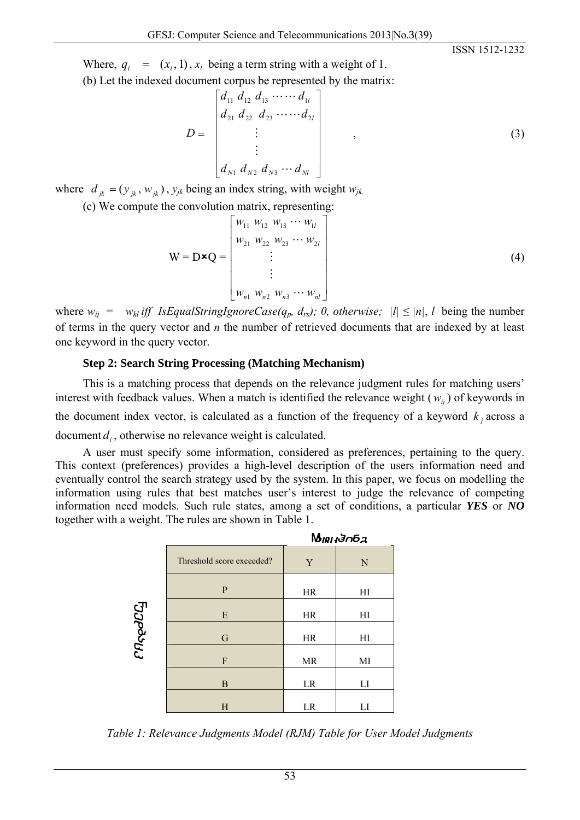Where,  $q_i = (x_i, 1), x_i$  being a term string with a weight of 1.

(b) Let the indexed document corpus be represented by the matrix:

$$
D = \begin{bmatrix} d_{11} & d_{12} & d_{13} & \cdots & d_{1l} \\ d_{21} & d_{22} & d_{23} & \cdots & d_{2l} \\ \vdots & \vdots & \vdots & \vdots \\ d_{N1} & d_{N2} & d_{N3} & \cdots & d_{Nl} \end{bmatrix},
$$
 (3)

where  $d_{jk} = (y_{jk}, w_{jk})$ ,  $y_{jk}$  being an index string, with weight  $w_{jk}$ .

(c) We compute the convolution matrix, representing:

$$
W = D \times Q = \begin{bmatrix} w_{11} & w_{12} & w_{13} & \cdots & w_{1l} \\ w_{21} & w_{22} & w_{23} & \cdots & w_{2l} \\ \vdots & & & & \\ w_{n1} & w_{n2} & w_{n3} & \cdots & w_{nl} \end{bmatrix}
$$
 (4)

where  $w_{ij} = w_{kl}$  *iff IsEqualStringIgnoreCase(q<sub>p</sub>, d<sub>rs</sub>); 0, otherwise;*  $|l| \leq |n|$ , *l* being the number of terms in the query vector and *n* the number of retrieved documents that are indexed by at least one keyword in the query vector.

## **Step 2: Search String Processing (Matching Mechanism)**

This is a matching process that depends on the relevance judgment rules for matching users' interest with feedback values. When a match is identified the relevance weight  $(w_{ij})$  of keywords in the document index vector, is calculated as a function of the frequency of a keyword  $k_j$  across a document  $d_i$ , otherwise no relevance weight is calculated.

A user must specify some information, considered as preferences, pertaining to the query. This context (preferences) provides a high-level description of the users information need and eventually control the search strategy used by the system. In this paper, we focus on modelling the information using rules that best matches user's interest to judge the relevance of competing information need models. Such rule states, among a set of conditions, a particular *YES* or *NO* together with a weight. The rules are shown in Table 1.

|          |                           |           | <b>M</b> <sub>1811</sub> 3062 |
|----------|---------------------------|-----------|-------------------------------|
|          | Threshold score exceeded? | Y         | N                             |
|          | P                         | HR        | HI                            |
|          | E                         | <b>HR</b> | HI                            |
| EJJPaSHJ | G                         | <b>HR</b> | H                             |
|          | F                         | MR        | MI                            |
|          | B                         | LR        | LI                            |
|          | Н                         | LR        | LI                            |

*Table 1: Relevance Judgments Model (RJM) Table for User Model Judgments*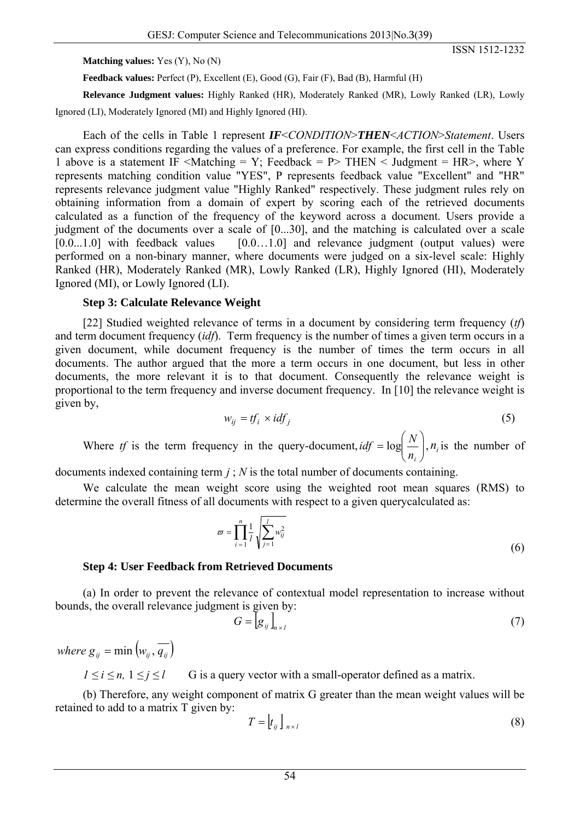**Matching values:** Yes (Y), No (N)

**Feedback values:** Perfect (P), Excellent (E), Good (G), Fair (F), Bad (B), Harmful (H)

**Relevance Judgment values:** Highly Ranked (HR), Moderately Ranked (MR), Lowly Ranked (LR), Lowly Ignored (LI), Moderately Ignored (MI) and Highly Ignored (HI).

Each of the cells in Table 1 represent *IF*<*CONDITION*>*THEN*<*ACTION*>*Statement*. Users can express conditions regarding the values of a preference. For example, the first cell in the Table 1 above is a statement IF <Matching = Y; Feedback = P> THEN < Judgment = HR>, where Y represents matching condition value "YES", P represents feedback value "Excellent" and "HR" represents relevance judgment value "Highly Ranked" respectively. These judgment rules rely on obtaining information from a domain of expert by scoring each of the retrieved documents calculated as a function of the frequency of the keyword across a document. Users provide a judgment of the documents over a scale of [0...30], and the matching is calculated over a scale  $[0.0...1.0]$  with feedback values  $[0.0...1.0]$  and relevance judgment (output values) were performed on a non-binary manner, where documents were judged on a six-level scale: Highly Ranked (HR), Moderately Ranked (MR), Lowly Ranked (LR), Highly Ignored (HI), Moderately Ignored (MI), or Lowly Ignored (LI).

## **Step 3: Calculate Relevance Weight**

[22] Studied weighted relevance of terms in a document by considering term frequency (*tf*) and term document frequency (*idf*). Term frequency is the number of times a given term occurs in a given document, while document frequency is the number of times the term occurs in all documents. The author argued that the more a term occurs in one document, but less in other documents, the more relevant it is to that document. Consequently the relevance weight is proportional to the term frequency and inverse document frequency. In [10] the relevance weight is given by,

$$
w_{ij} = tf_i \times idf_j \tag{5}
$$

Where *tf* is the term frequency in the query-document,  $\frac{df}{dt} = \log \left| \frac{dv}{dt} \right|$ ⎠  $\setminus$  $\parallel$ ⎝  $=$   $log($ *i n*  $\int inf = \log \left( \frac{N}{n} \right)$ ,  $n_i$  is the number of

documents indexed containing term  $j$ ;  $N$  is the total number of documents containing.

We calculate the mean weight score using the weighted root mean squares (RMS) to determine the overall fitness of all documents with respect to a given querycalculated as:

$$
\varpi = \prod_{i=1}^{n} \frac{1}{i} \sqrt{\sum_{j=1}^{l} w_{ij}^{2}}
$$
(6)

## **Step 4: User Feedback from Retrieved Documents**

(a) In order to prevent the relevance of contextual model representation to increase without bounds, the overall relevance judgment is given by:

$$
G = \left[ g_{ij} \right]_{n \times l} \tag{7}
$$

where  $g_{ii} = \min(w_{ii}, \overline{q_{ii}})$ 

 $1 \leq i \leq n$ ,  $1 \leq j \leq l$  G is a query vector with a small-operator defined as a matrix.

(b) Therefore, any weight component of matrix G greater than the mean weight values will be retained to add to a matrix T given by:

$$
T = \left[ t_{ij} \right]_{n \times l} \tag{8}
$$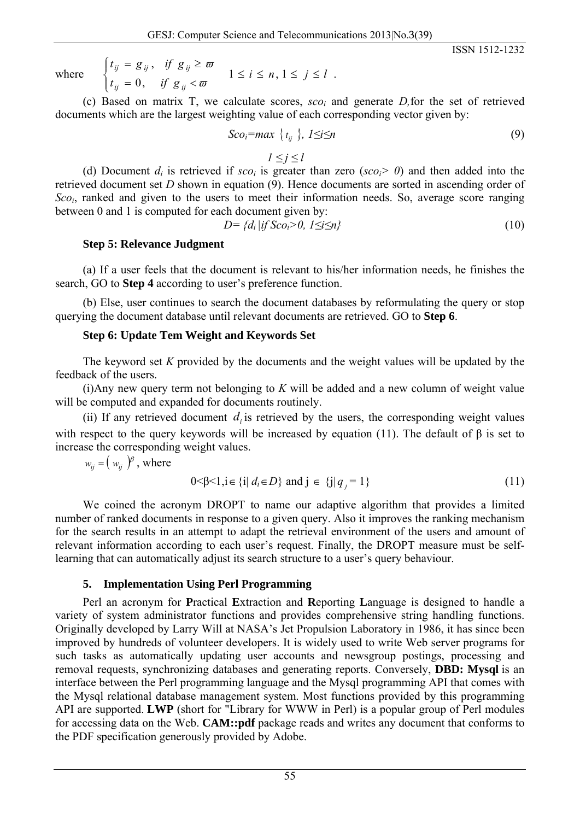where 
$$
\begin{cases} t_{ij} = g_{ij}, & \text{if } g_{ij} \ge \varpi \\ t_{ij} = 0, & \text{if } g_{ij} < \varpi \end{cases}
$$
 1 \le i \le n, 1 \le j \le l.

(c) Based on matrix T, we calculate scores, *scoi* and generate *D,*for the set of retrieved documents which are the largest weighting value of each corresponding vector given by:

$$
Scoi=max\ \{t_{ij}\ \},\ l\leq i\leq n
$$
 (9)

ISSN 1512-1232

 $$ 

(d) Document  $d_i$  is retrieved if  $sco_i$  is greater than zero  $(sco_i > 0)$  and then added into the retrieved document set *D* shown in equation (9). Hence documents are sorted in ascending order of *Scoi*, ranked and given to the users to meet their information needs. So, average score ranging between 0 and 1 is computed for each document given by:

$$
D = \{d_i \mid \text{if } \text{Sco}_i > 0, \text{ } 1 \leq i \leq n\} \tag{10}
$$

#### **Step 5: Relevance Judgment**

(a) If a user feels that the document is relevant to his/her information needs, he finishes the search, GO to **Step 4** according to user's preference function.

(b) Else, user continues to search the document databases by reformulating the query or stop querying the document database until relevant documents are retrieved. GO to **Step 6**.

#### **Step 6: Update Tem Weight and Keywords Set**

The keyword set *K* provided by the documents and the weight values will be updated by the feedback of the users.

(i)Any new query term not belonging to *K* will be added and a new column of weight value will be computed and expanded for documents routinely.

(ii) If any retrieved document  $d_i$  is retrieved by the users, the corresponding weight values with respect to the query keywords will be increased by equation (11). The default of  $\beta$  is set to increase the corresponding weight values.

 $w_{ii} = ( w_{ii} )^{\beta}$ , where

$$
0 < \beta < 1, i \in \{i \mid d_i \in D\} \text{ and } j \in \{j \mid q_j = 1\}
$$
\n(11)

We coined the acronym DROPT to name our adaptive algorithm that provides a limited number of ranked documents in response to a given query. Also it improves the ranking mechanism for the search results in an attempt to adapt the retrieval environment of the users and amount of relevant information according to each user's request. Finally, the DROPT measure must be selflearning that can automatically adjust its search structure to a user's query behaviour.

#### **5. Implementation Using Perl Programming**

Perl an acronym for **P**ractical **E**xtraction and **R**eporting **L**anguage is designed to handle a variety of system administrator functions and provides comprehensive string handling functions. Originally developed by Larry Will at NASA's Jet Propulsion Laboratory in 1986, it has since been improved by hundreds of volunteer developers. It is widely used to write Web server programs for such tasks as automatically updating user accounts and newsgroup postings, processing and removal requests, synchronizing databases and generating reports. Conversely, **DBD: Mysql** is an interface between the Perl programming language and the Mysql programming API that comes with the Mysql relational database management system. Most functions provided by this programming API are supported. **LWP** (short for "Library for WWW in Perl) is a popular group of Perl modules for accessing data on the Web. **CAM::pdf** package reads and writes any document that conforms to the PDF specification generously provided by Adobe.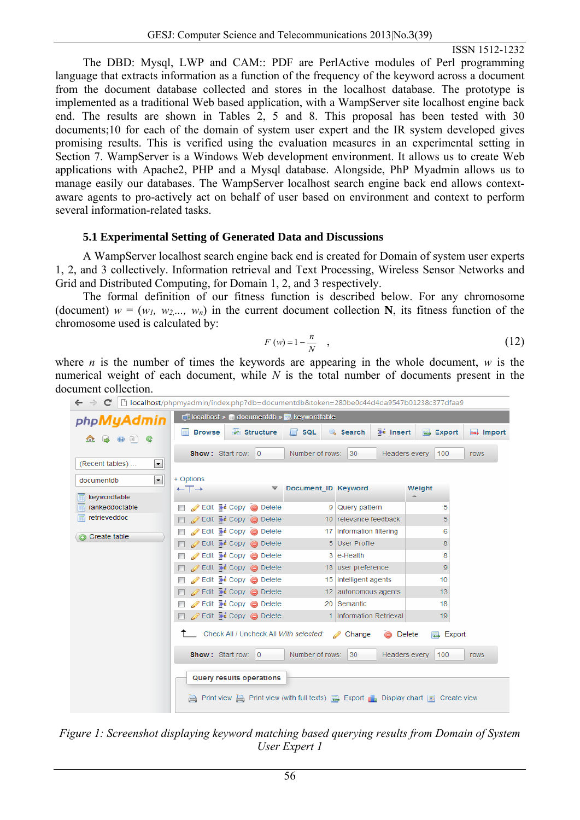The DBD: Mysql, LWP and CAM:: PDF are PerlActive modules of Perl programming language that extracts information as a function of the frequency of the keyword across a document from the document database collected and stores in the localhost database. The prototype is implemented as a traditional Web based application, with a WampServer site localhost engine back end. The results are shown in Tables 2, 5 and 8. This proposal has been tested with 30 documents;10 for each of the domain of system user expert and the IR system developed gives promising results. This is verified using the evaluation measures in an experimental setting in Section 7. WampServer is a Windows Web development environment. It allows us to create Web applications with Apache2, PHP and a Mysql database. Alongside, PhP Myadmin allows us to manage easily our databases. The WampServer localhost search engine back end allows contextaware agents to pro-actively act on behalf of user based on environment and context to perform several information-related tasks.

## **5.1 Experimental Setting of Generated Data and Discussions**

A WampServer localhost search engine back end is created for Domain of system user experts 1, 2, and 3 collectively. Information retrieval and Text Processing, Wireless Sensor Networks and Grid and Distributed Computing, for Domain 1, 2, and 3 respectively.

The formal definition of our fitness function is described below. For any chromosome (document)  $w = (w_1, w_2,..., w_n)$  in the current document collection **N**, its fitness function of the chromosome used is calculated by:

$$
F(w) = 1 - \frac{n}{N} \quad , \tag{12}
$$

where *n* is the number of times the keywords are appearing in the whole document, *w* is the numerical weight of each document, while *N* is the total number of documents present in the document collection.

| php <b>MyAdmin</b>                 | $\Box$ localhost » $\Box$ documentdb » $\Box$ keywordtable |                                                                                                  |                                     |
|------------------------------------|------------------------------------------------------------|--------------------------------------------------------------------------------------------------|-------------------------------------|
| $\bullet$ $\bullet$ $\circ$<br>金   | Structure<br><b>Browse</b>                                 | $\Box$ sql<br><b>Fe</b> Insert<br>Search                                                         | <b>B</b> Export<br><b>Et Import</b> |
|                                    | <b>Show:</b> Start row: 0                                  | Number of rows:<br>30                                                                            | Headers every<br>100<br>rows.       |
| $\blacksquare$<br>(Recent tables)  |                                                            |                                                                                                  |                                     |
| $\blacktriangledown$<br>documentdb | + Options                                                  |                                                                                                  |                                     |
| keywordtable                       | $\leftarrow$ T $\rightarrow$<br>$\blacktriangledown$       | Document ID Keyword                                                                              | Weight                              |
| rankeddoctable                     | <b>Edit 3-i Copy @ Delete</b>                              | 9 Query pattern                                                                                  | 5                                   |
| retrieveddoc                       | $\oslash$ Edit $\vec{r}$ Copy $\odot$ Delete               | 10 relevance feedback                                                                            | 5                                   |
| Create table                       | Edit 3: Copy O Delete                                      | 17 Information filtering                                                                         | 6                                   |
|                                    | $\oslash$ Edit $\vec{r}$ Copy $\odot$ Delete               | 5 User Profile                                                                                   | 8                                   |
|                                    | <b>But Si</b> Copy <b>O</b> Delete                         | 3 e-Health                                                                                       | 8                                   |
|                                    | $\oslash$ Edit $\vec{r}$ Copy $\odot$ Delete               | 18 user preference                                                                               | 9                                   |
|                                    | <b>Edit 3: Copy O Delete</b>                               | 15 intelligent agents                                                                            | 10                                  |
|                                    | $\oslash$ Edit $\vec{r}$ Copy $\odot$ Delete               | 12 autonomous agents                                                                             | 13                                  |
|                                    | <b>Edit 3-i Copy @ Delete</b>                              | 20 Semantic                                                                                      | 18                                  |
|                                    | <b>⊘Edit Wi Copy</b> ● Delete<br>n                         | 1 Information Retrieval                                                                          | 19                                  |
|                                    | Check All / Uncheck All With selected:                     | $\oslash$ Change                                                                                 | Delete<br><b>尾</b> Export           |
|                                    | Show: Start row: 0                                         | Number of rows:<br>30                                                                            | Headers every<br>100<br><b>rows</b> |
|                                    | <b>Query results operations</b>                            |                                                                                                  |                                     |
|                                    |                                                            | Print view A Print view (with full texts) <b>a</b> Export and Display chart <b>b</b> Create view |                                     |

 $\leftarrow$   $\rightarrow$   $\mathbb{C}$   $\Box$  localbost/phpmyadmin/index php?db=documentdb&token=280be0c44d4da9547b01238c377dfaa9

*Figure 1: Screenshot displaying keyword matching based querying results from Domain of System User Expert 1*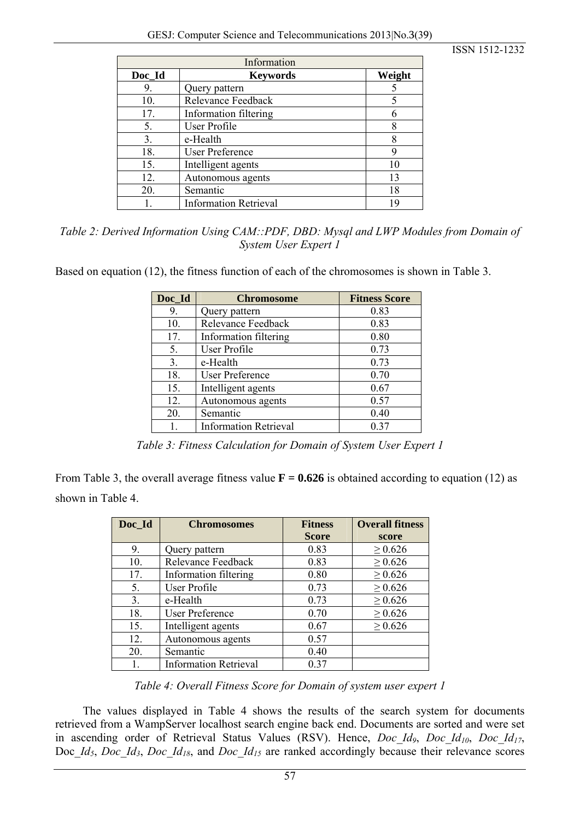|        | Information                  |        |
|--------|------------------------------|--------|
| Doc_Id | <b>Keywords</b>              | Weight |
| 9.     | Query pattern                |        |
| 10.    | Relevance Feedback           | 5      |
| 17.    | Information filtering        | 6      |
| 5.     | User Profile                 | 8      |
| 3.     | e-Health                     | 8      |
| 18.    | <b>User Preference</b>       | 9      |
| 15.    | Intelligent agents           | 10     |
| 12.    | Autonomous agents            | 13     |
| 20.    | Semantic                     | 18     |
|        | <b>Information Retrieval</b> | 19     |

| Table 2: Derived Information Using CAM::PDF, DBD: Mysql and LWP Modules from Domain of |
|----------------------------------------------------------------------------------------|
| System User Expert 1                                                                   |

Based on equation (12), the fitness function of each of the chromosomes is shown in Table 3.

| Doc_Id | <b>Chromosome</b>            | <b>Fitness Score</b> |
|--------|------------------------------|----------------------|
| 9.     | Query pattern                | 0.83                 |
| 10.    | Relevance Feedback           | 0.83                 |
| 17.    | Information filtering        | 0.80                 |
| 5.     | User Profile                 | 0.73                 |
| 3.     | e-Health                     | 0.73                 |
| 18.    | <b>User Preference</b>       | 0.70                 |
| 15.    | Intelligent agents           | 0.67                 |
| 12.    | Autonomous agents            | 0.57                 |
| 20.    | Semantic                     | 0.40                 |
| 1.     | <b>Information Retrieval</b> | 0.37                 |

*Table 3: Fitness Calculation for Domain of System User Expert 1* 

From Table 3, the overall average fitness value  $\mathbf{F} = 0.626$  is obtained according to equation (12) as shown in Table 4.

| Doc_Id | <b>Chromosomes</b>           | <b>Fitness</b> | <b>Overall fitness</b> |
|--------|------------------------------|----------------|------------------------|
|        |                              | <b>Score</b>   | score                  |
| 9.     | Query pattern                | 0.83           | $\geq 0.626$           |
| 10.    | Relevance Feedback           | 0.83           | $\geq 0.626$           |
| 17.    | Information filtering        | 0.80           | $\geq 0.626$           |
| 5.     | User Profile                 | 0.73           | $\geq 0.626$           |
| 3.     | e-Health                     | 0.73           | $\geq 0.626$           |
| 18.    | <b>User Preference</b>       | 0.70           | $\geq 0.626$           |
| 15.    | Intelligent agents           | 0.67           | $\geq 0.626$           |
| 12.    | Autonomous agents            | 0.57           |                        |
| 20.    | Semantic                     | 0.40           |                        |
|        | <b>Information Retrieval</b> | 0.37           |                        |

*Table 4: Overall Fitness Score for Domain of system user expert 1* 

The values displayed in Table 4 shows the results of the search system for documents retrieved from a WampServer localhost search engine back end. Documents are sorted and were set in ascending order of Retrieval Status Values (RSV). Hence, *Doc\_Id9*, *Doc\_Id10*, *Doc*\_*Id17*, Doc *Id<sub>5</sub>*, *Doc Id<sub>3</sub>*, *Doc Id<sub>18</sub>*, and *Doc Id<sub>15</sub>* are ranked accordingly because their relevance scores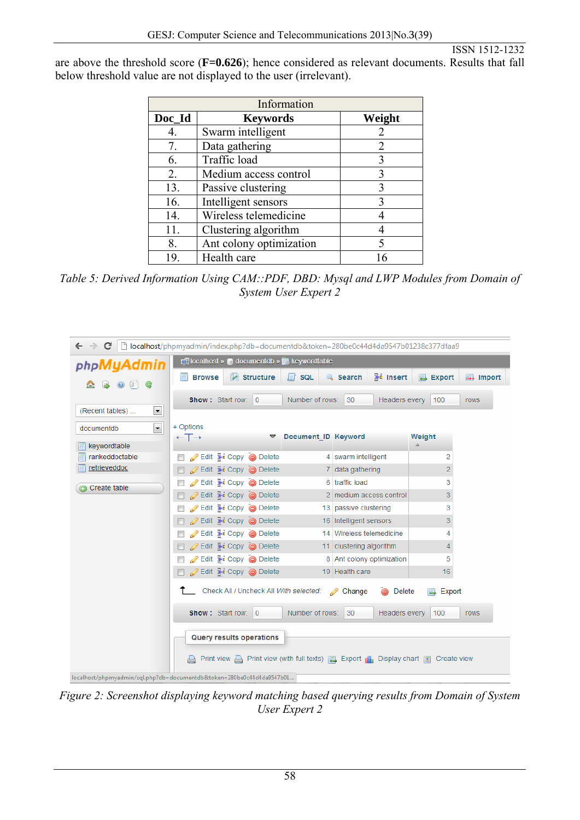are above the threshold score (**F=0.626**); hence considered as relevant documents. Results that fall below threshold value are not displayed to the user (irrelevant).

|        | Information             |        |
|--------|-------------------------|--------|
| Doc_Id | <b>Keywords</b>         | Weight |
| 4.     | Swarm intelligent       |        |
| 7.     | Data gathering          | 2      |
| 6.     | Traffic load            | 3      |
| 2.     | Medium access control   | 3      |
| 13.    | Passive clustering      | 3      |
| 16.    | Intelligent sensors     | 3      |
| 14.    | Wireless telemedicine   |        |
| 11.    | Clustering algorithm    |        |
| 8.     | Ant colony optimization |        |
| 19.    | Health care             |        |

*Table 5: Derived Information Using CAM::PDF, DBD: Mysql and LWP Modules from Domain of System User Expert 2* 



*Figure 2: Screenshot displaying keyword matching based querying results from Domain of System User Expert 2*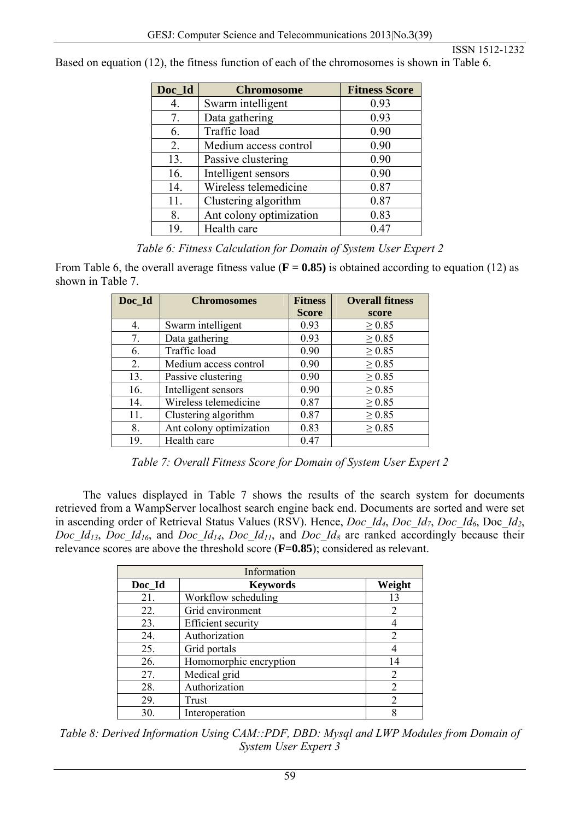|  |  | Based on equation (12), the fitness function of each of the chromosomes is shown in Table 6. |  |
|--|--|----------------------------------------------------------------------------------------------|--|
|--|--|----------------------------------------------------------------------------------------------|--|

| Doc_Id | <b>Chromosome</b>       | <b>Fitness Score</b> |
|--------|-------------------------|----------------------|
| 4.     | Swarm intelligent       | 0.93                 |
| 7.     | Data gathering          | 0.93                 |
| 6.     | Traffic load            | 0.90                 |
| 2.     | Medium access control   | 0.90                 |
| 13.    | Passive clustering      | 0.90                 |
| 16.    | Intelligent sensors     | 0.90                 |
| 14.    | Wireless telemedicine   | 0.87                 |
| 11.    | Clustering algorithm    | 0.87                 |
| 8.     | Ant colony optimization | 0.83                 |
| 19.    | Health care             | 0.47                 |

*Table 6: Fitness Calculation for Domain of System User Expert 2* 

From Table 6, the overall average fitness value ( $\bf{F} = 0.85$ ) is obtained according to equation (12) as shown in Table 7.

| Doc Id | <b>Chromosomes</b>      | <b>Fitness</b> | <b>Overall fitness</b> |
|--------|-------------------------|----------------|------------------------|
|        |                         | <b>Score</b>   | score                  |
| 4.     | Swarm intelligent       | 0.93           | $\geq 0.85$            |
| 7.     | Data gathering          | 0.93           | $\geq 0.85$            |
| 6.     | Traffic load            | 0.90           | $\geq 0.85$            |
| 2.     | Medium access control   | 0.90           | $\geq 0.85$            |
| 13.    | Passive clustering      | 0.90           | $\geq 0.85$            |
| 16.    | Intelligent sensors     | 0.90           | $\geq 0.85$            |
| 14.    | Wireless telemedicine   | 0.87           | $\geq 0.85$            |
| 11.    | Clustering algorithm    | 0.87           | $\geq 0.85$            |
| 8.     | Ant colony optimization | 0.83           | $\geq 0.85$            |
| 19.    | Health care             | 0.47           |                        |

*Table 7: Overall Fitness Score for Domain of System User Expert 2* 

The values displayed in Table 7 shows the results of the search system for documents retrieved from a WampServer localhost search engine back end. Documents are sorted and were set in ascending order of Retrieval Status Values (RSV). Hence, *Doc\_Id4*, *Doc\_Id7*, *Doc*\_*Id6*, Doc\_*Id2*, *Doc\_Id<sub>13</sub>*, *Doc\_Id<sub>16</sub>*, and *Doc\_Id<sub>14</sub>*, *Doc\_Id<sub>11</sub>*, and *Doc\_Id<sub>8</sub>* are ranked accordingly because their relevance scores are above the threshold score (**F=0.85**); considered as relevant.

|        | Information               |                |
|--------|---------------------------|----------------|
| Doc_Id | <b>Keywords</b>           | Weight         |
| 21.    | Workflow scheduling       | 13             |
| 22.    | Grid environment          | 2              |
| 23.    | <b>Efficient</b> security |                |
| 24.    | Authorization             | 2              |
| 25.    | Grid portals              |                |
| 26.    | Homomorphic encryption    | 14             |
| 27.    | Medical grid              | 2              |
| 28.    | Authorization             | 2              |
| 29.    | Trust                     | $\mathfrak{D}$ |
| 30.    | Interoperation            | 8              |

*Table 8: Derived Information Using CAM::PDF, DBD: Mysql and LWP Modules from Domain of System User Expert 3*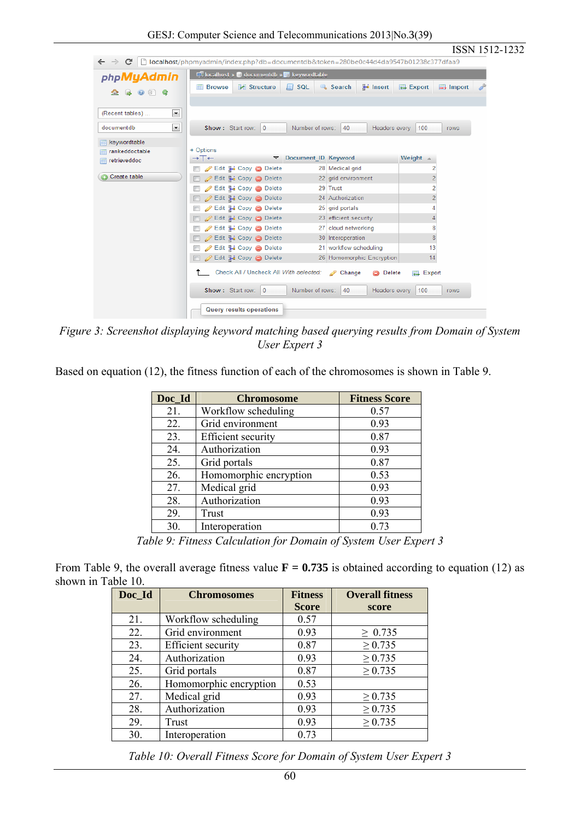GESJ: Computer Science and Telecommunications 2013|No.3(39)

| phpMyAdmin                             | Di localhost » i documentdb » i keywordtable                                 |                                                                  |                                       |
|----------------------------------------|------------------------------------------------------------------------------|------------------------------------------------------------------|---------------------------------------|
| $\bullet$ $\bullet$ $\circ$            | Structure<br><b>■ Browse</b>                                                 | $\frac{1}{2}$ insert<br>$\Box$ SQL<br>Search                     | <b>B</b> Export<br>$\Box$ Import      |
| $\vert \cdot \vert$<br>(Recent tables) |                                                                              |                                                                  |                                       |
| $\overline{\phantom{a}}$<br>documentdb | Show: Start row:<br>$ 0\rangle$                                              | Number of rows: 40<br>Headers every                              | 100<br>rows                           |
| keywordtable                           |                                                                              |                                                                  |                                       |
| rankeddoctable                         | + Options                                                                    |                                                                  |                                       |
| retrieveddoc                           | $\rightarrow$ T $\leftarrow$                                                 | ▼ Document ID Keyword                                            | Weight $\triangle$                    |
|                                        | <b><i>A</i></b> Edit <b>3-i</b> Copy ● Delete                                | 28 Medical grid                                                  | 2                                     |
| Create table                           | Delete → Edit 3-i Copy ● Delete                                              | 22 grid environment                                              | $\overline{2}$                        |
|                                        | <b>Edit 3-i Copy → Delete</b>                                                | 29 Trust                                                         |                                       |
|                                        | □ <mark>⊘ Edit 3-i Copy ● Delete</mark>                                      | 24 Authorization                                                 |                                       |
|                                        | Edit 3-i Copy @ Delete                                                       | 25 grid portals                                                  |                                       |
|                                        | □ <b><i>/</i></b> Edit <b>3-i</b> Copy ● Delete                              | 23 efficient security                                            |                                       |
|                                        | Edit 3-i Copy @ Delete                                                       | 27 cloud networking                                              |                                       |
|                                        | □ <b>2</b> Edit 3 i Copy ● Delete                                            | 30 Interoperation                                                |                                       |
|                                        | Edit 3-i Copy @ Delete                                                       | 21 workflow scheduling                                           | 13                                    |
|                                        | □ <b>2</b> Edit 3-i Copy ● Delete                                            | 26 Homomorphic Encryption                                        | 14                                    |
|                                        | Check All / Uncheck All With selected:<br>Show: Start row:<br>$\overline{0}$ | Change<br><b>O</b> Delete<br>Number of rows: 40<br>Headers every | <b>尾</b> Export<br>100<br><b>rows</b> |

*Figure 3: Screenshot displaying keyword matching based querying results from Domain of System User Expert 3* 

Based on equation (12), the fitness function of each of the chromosomes is shown in Table 9.

| Doc_Id | <b>Chromosome</b>         | <b>Fitness Score</b> |
|--------|---------------------------|----------------------|
| 21.    | Workflow scheduling       | 0.57                 |
| 22.    | Grid environment          | 0.93                 |
| 23.    | <b>Efficient</b> security | 0.87                 |
| 24.    | Authorization             | 0.93                 |
| 25.    | Grid portals              | 0.87                 |
| 26.    | Homomorphic encryption    | 0.53                 |
| 27.    | Medical grid              | 0.93                 |
| 28.    | Authorization             | 0.93                 |
| 29.    | Trust                     | 0.93                 |
| 30.    | Interoperation            | 0.73                 |

*Table 9: Fitness Calculation for Domain of System User Expert 3* 

From Table 9, the overall average fitness value  $\mathbf{F} = 0.735$  is obtained according to equation (12) as shown in Table 10.

| Doc_Id | <b>Chromosomes</b>        | <b>Fitness</b> | <b>Overall fitness</b> |  |
|--------|---------------------------|----------------|------------------------|--|
|        |                           | <b>Score</b>   | score                  |  |
| 21.    | Workflow scheduling       | 0.57           |                        |  |
| 22.    | Grid environment          | 0.93           | $\geq 0.735$           |  |
| 23.    | <b>Efficient</b> security | 0.87           | $\geq 0.735$           |  |
| 24.    | Authorization             | 0.93           | $\geq 0.735$           |  |
| 25.    | Grid portals              | 0.87           | $\geq 0.735$           |  |
| 26.    | Homomorphic encryption    | 0.53           |                        |  |
| 27.    | Medical grid              | 0.93           | $\geq 0.735$           |  |
| 28.    | Authorization             | 0.93           | $\geq 0.735$           |  |
| 29.    | Trust                     | 0.93           | $\geq 0.735$           |  |
| 30.    | Interoperation            | 0.73           |                        |  |

*Table 10: Overall Fitness Score for Domain of System User Expert 3*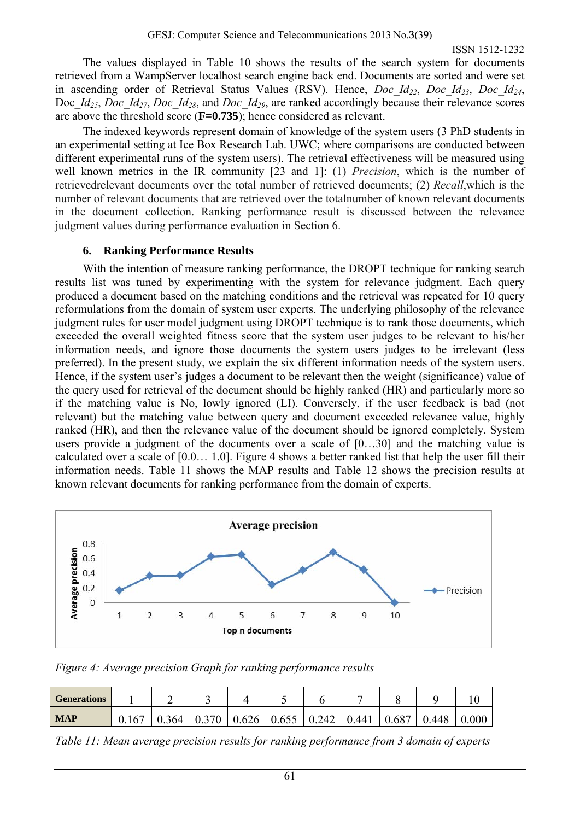The values displayed in Table 10 shows the results of the search system for documents retrieved from a WampServer localhost search engine back end. Documents are sorted and were set in ascending order of Retrieval Status Values (RSV). Hence, *Doc\_Id22*, *Doc\_Id23*, *Doc*\_*Id24*, Doc\_*Id25*, *Doc*\_*Id27*, *Doc*\_*Id28*, and *Doc*\_*Id29*, are ranked accordingly because their relevance scores are above the threshold score (**F=0.735**); hence considered as relevant.

The indexed keywords represent domain of knowledge of the system users (3 PhD students in an experimental setting at Ice Box Research Lab. UWC; where comparisons are conducted between different experimental runs of the system users). The retrieval effectiveness will be measured using well known metrics in the IR community [23 and 1]: (1) *Precision*, which is the number of retrievedrelevant documents over the total number of retrieved documents; (2) *Recall*,which is the number of relevant documents that are retrieved over the totalnumber of known relevant documents in the document collection. Ranking performance result is discussed between the relevance judgment values during performance evaluation in Section 6.

## **6. Ranking Performance Results**

With the intention of measure ranking performance, the DROPT technique for ranking search results list was tuned by experimenting with the system for relevance judgment. Each query produced a document based on the matching conditions and the retrieval was repeated for 10 query reformulations from the domain of system user experts. The underlying philosophy of the relevance judgment rules for user model judgment using DROPT technique is to rank those documents, which exceeded the overall weighted fitness score that the system user judges to be relevant to his/her information needs, and ignore those documents the system users judges to be irrelevant (less preferred). In the present study, we explain the six different information needs of the system users. Hence, if the system user's judges a document to be relevant then the weight (significance) value of the query used for retrieval of the document should be highly ranked (HR) and particularly more so if the matching value is No, lowly ignored (LI). Conversely, if the user feedback is bad (not relevant) but the matching value between query and document exceeded relevance value, highly ranked (HR), and then the relevance value of the document should be ignored completely. System users provide a judgment of the documents over a scale of [0…30] and the matching value is calculated over a scale of [0.0… 1.0]. Figure 4 shows a better ranked list that help the user fill their information needs. Table 11 shows the MAP results and Table 12 shows the precision results at known relevant documents for ranking performance from the domain of experts.



*Figure 4: Average precision Graph for ranking performance results* 

| <b>Generations</b> | ∽   |       |       |       |       |       |       |      |       |
|--------------------|-----|-------|-------|-------|-------|-------|-------|------|-------|
| <b>MAP</b>         | 364 | 0.370 | 0.626 | 0.655 | 0.242 | 0.441 | 0.687 | .448 | 0.000 |

*Table 11: Mean average precision results for ranking performance from 3 domain of experts*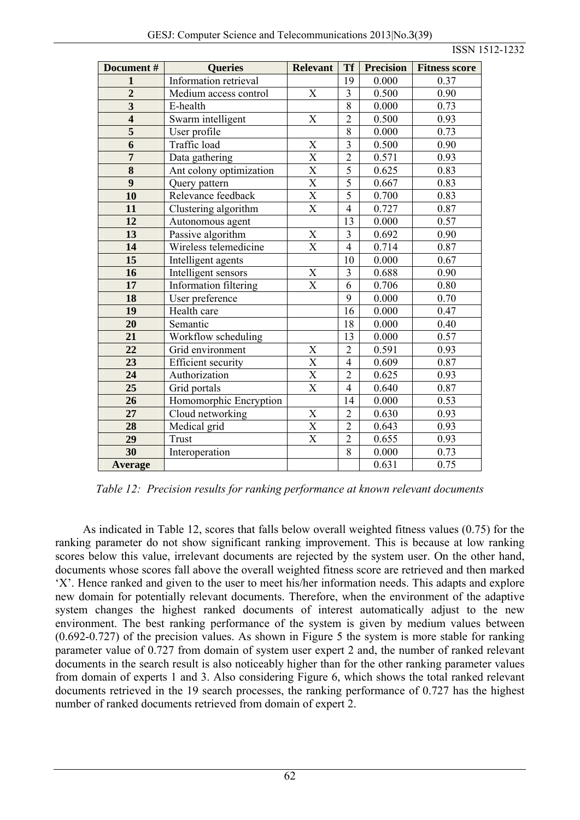| Document #              | <b>Queries</b>            | <b>Relevant</b>                     | <b>Tf</b>               | <b>Precision</b> | <b>Fitness score</b> |  |
|-------------------------|---------------------------|-------------------------------------|-------------------------|------------------|----------------------|--|
| 1                       | Information retrieval     |                                     | 19                      | 0.000            | 0.37                 |  |
| $\overline{2}$          | Medium access control     | X                                   | $\overline{\mathbf{3}}$ | 0.500            | 0.90                 |  |
| $\overline{\mathbf{3}}$ | E-health                  |                                     | 8                       | 0.000            | 0.73                 |  |
| $\overline{\mathbf{4}}$ | Swarm intelligent         | $\mathbf X$                         | $\overline{2}$          | 0.500            | 0.93                 |  |
| $\overline{\mathbf{5}}$ | User profile              |                                     | $\overline{8}$          | 0.000            | 0.73                 |  |
| 6                       | Traffic load              | X                                   | $\overline{3}$          | 0.500            | 0.90                 |  |
| $\overline{7}$          | Data gathering            | $\overline{\mathrm{X}}$             | $\overline{2}$          | 0.571            | 0.93                 |  |
| $\overline{\mathbf{8}}$ | Ant colony optimization   | $\overline{\text{X}}$               | $\overline{5}$          | 0.625            | 0.83                 |  |
| $\overline{9}$          | Query pattern             | $\overline{\text{X}}$               | 5                       | 0.667            | 0.83                 |  |
| 10                      | Relevance feedback        | $\overline{\text{X}}$               | $\overline{5}$          | 0.700            | 0.83                 |  |
| 11                      | Clustering algorithm      | $\overline{\text{X}}$               | $\overline{4}$          | 0.727            | 0.87                 |  |
| 12                      | Autonomous agent          |                                     | 13                      | 0.000            | 0.57                 |  |
| 13                      | Passive algorithm         | $\mathbf X$                         | $\overline{3}$          | 0.692            | 0.90                 |  |
| 14                      | Wireless telemedicine     | $\overline{\text{X}}$               | $\overline{4}$          | 0.714            | 0.87                 |  |
| 15                      | Intelligent agents        |                                     | 10                      | 0.000            | 0.67                 |  |
| 16                      | Intelligent sensors       | $\frac{\overline{X}}{\overline{X}}$ | $\overline{3}$          | 0.688            | 0.90                 |  |
| 17                      | Information filtering     |                                     | 6                       | 0.706            | 0.80                 |  |
| 18                      | User preference           |                                     | 9                       | 0.000            | 0.70                 |  |
| 19                      | Health care               |                                     | 16                      | 0.000            | 0.47                 |  |
| 20                      | Semantic                  |                                     | 18                      | 0.000            | 0.40                 |  |
| 21                      | Workflow scheduling       |                                     | 13                      | 0.000            | 0.57                 |  |
| 22                      | Grid environment          | X                                   | $\overline{2}$          | 0.591            | 0.93                 |  |
| 23                      | <b>Efficient security</b> | $\overline{\text{X}}$               | $\overline{4}$          | 0.609            | 0.87                 |  |
| 24                      | Authorization             | $\overline{\text{X}}$               | $\overline{2}$          | 0.625            | 0.93                 |  |
| $\overline{25}$         | Grid portals              | $\overline{\mathrm{X}}$             | $\overline{4}$          | 0.640            | 0.87                 |  |
| 26                      | Homomorphic Encryption    |                                     | 14                      | 0.000            | 0.53                 |  |
| 27                      | Cloud networking          | $\mathbf X$                         | $\overline{2}$          | 0.630            | 0.93                 |  |
| 28                      | Medical grid              | $\mathbf X$                         | $\overline{2}$          | 0.643            | 0.93                 |  |
| 29                      | <b>Trust</b>              | $\overline{\text{X}}$               | $\overline{2}$          | 0.655            | 0.93                 |  |
| 30                      | Interoperation            |                                     | $\overline{8}$          | 0.000            | 0.73                 |  |
| Average                 |                           |                                     |                         | 0.631            | 0.75                 |  |

*Table 12: Precision results for ranking performance at known relevant documents* 

As indicated in Table 12, scores that falls below overall weighted fitness values (0.75) for the ranking parameter do not show significant ranking improvement. This is because at low ranking scores below this value, irrelevant documents are rejected by the system user. On the other hand, documents whose scores fall above the overall weighted fitness score are retrieved and then marked 'X'. Hence ranked and given to the user to meet his/her information needs. This adapts and explore new domain for potentially relevant documents. Therefore, when the environment of the adaptive system changes the highest ranked documents of interest automatically adjust to the new environment. The best ranking performance of the system is given by medium values between (0.692-0.727) of the precision values. As shown in Figure 5 the system is more stable for ranking parameter value of 0.727 from domain of system user expert 2 and, the number of ranked relevant documents in the search result is also noticeably higher than for the other ranking parameter values from domain of experts 1 and 3. Also considering Figure 6, which shows the total ranked relevant documents retrieved in the 19 search processes, the ranking performance of 0.727 has the highest number of ranked documents retrieved from domain of expert 2.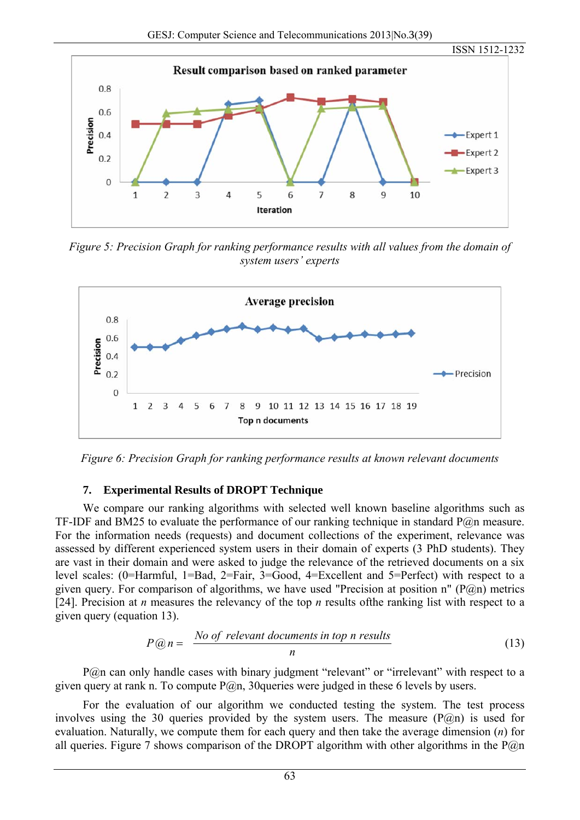

*Figure 5: Precision Graph for ranking performance results with all values from the domain of system users' experts* 



*Figure 6: Precision Graph for ranking performance results at known relevant documents* 

## **7. Experimental Results of DROPT Technique**

We compare our ranking algorithms with selected well known baseline algorithms such as TF-IDF and BM25 to evaluate the performance of our ranking technique in standard  $P(\hat{\omega})$ n measure. For the information needs (requests) and document collections of the experiment, relevance was assessed by different experienced system users in their domain of experts (3 PhD students). They are vast in their domain and were asked to judge the relevance of the retrieved documents on a six level scales: (0=Harmful, 1=Bad, 2=Fair, 3=Good, 4=Excellent and 5=Perfect) with respect to a given query. For comparison of algorithms, we have used "Precision at position n" (P@n) metrics [24]. Precision at *n* measures the relevancy of the top *n* results ofthe ranking list with respect to a given query (equation 13).

$$
P@n = \frac{No \text{ of relevant documents in top } n \text{ results}}{n}
$$
 (13)

P@n can only handle cases with binary judgment "relevant" or "irrelevant" with respect to a given query at rank n. To compute  $P(\hat{\omega})$ n, 30queries were judged in these 6 levels by users.

For the evaluation of our algorithm we conducted testing the system. The test process involves using the 30 queries provided by the system users. The measure  $(P(\hat{a})n)$  is used for evaluation. Naturally, we compute them for each query and then take the average dimension (*n*) for all queries. Figure 7 shows comparison of the DROPT algorithm with other algorithms in the  $P@n$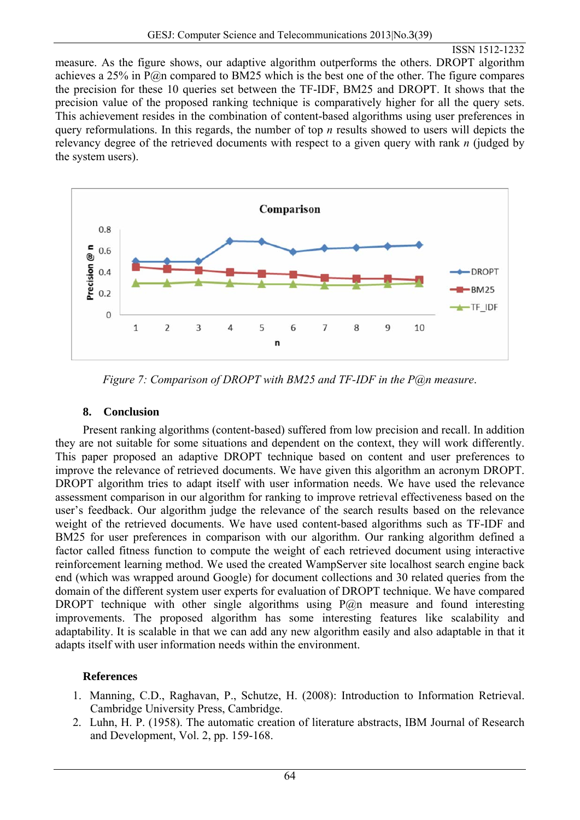measure. As the figure shows, our adaptive algorithm outperforms the others. DROPT algorithm achieves a 25% in  $P(\hat{a})$  compared to BM25 which is the best one of the other. The figure compares the precision for these 10 queries set between the TF-IDF, BM25 and DROPT. It shows that the precision value of the proposed ranking technique is comparatively higher for all the query sets. This achievement resides in the combination of content-based algorithms using user preferences in query reformulations. In this regards, the number of top *n* results showed to users will depicts the relevancy degree of the retrieved documents with respect to a given query with rank *n* (judged by the system users).



*Figure 7: Comparison of DROPT with BM25 and TF-IDF in the P@n measure*.

## **8. Conclusion**

Present ranking algorithms (content-based) suffered from low precision and recall. In addition they are not suitable for some situations and dependent on the context, they will work differently. This paper proposed an adaptive DROPT technique based on content and user preferences to improve the relevance of retrieved documents. We have given this algorithm an acronym DROPT. DROPT algorithm tries to adapt itself with user information needs. We have used the relevance assessment comparison in our algorithm for ranking to improve retrieval effectiveness based on the user's feedback. Our algorithm judge the relevance of the search results based on the relevance weight of the retrieved documents. We have used content-based algorithms such as TF-IDF and BM25 for user preferences in comparison with our algorithm. Our ranking algorithm defined a factor called fitness function to compute the weight of each retrieved document using interactive reinforcement learning method. We used the created WampServer site localhost search engine back end (which was wrapped around Google) for document collections and 30 related queries from the domain of the different system user experts for evaluation of DROPT technique. We have compared DROPT technique with other single algorithms using  $P(\hat{\alpha})$  measure and found interesting improvements. The proposed algorithm has some interesting features like scalability and adaptability. It is scalable in that we can add any new algorithm easily and also adaptable in that it adapts itself with user information needs within the environment.

## **References**

- 1. Manning, C.D., Raghavan, P., Schutze, H. (2008): Introduction to Information Retrieval. Cambridge University Press, Cambridge.
- 2. Luhn, H. P. (1958). The automatic creation of literature abstracts, IBM Journal of Research and Development, Vol. 2, pp. 159-168.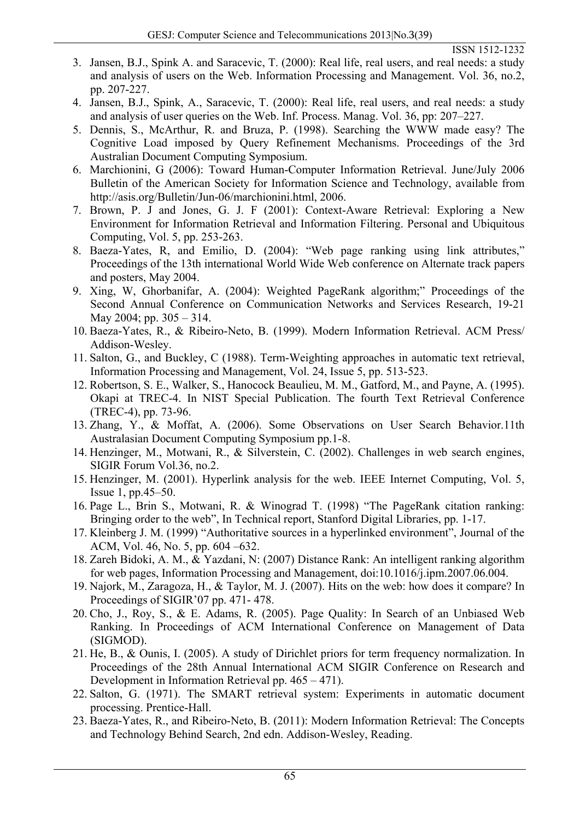- 3. Jansen, B.J., Spink A. and Saracevic, T. (2000): Real life, real users, and real needs: a study and analysis of users on the Web. Information Processing and Management. Vol. 36, no.2, pp. 207-227.
- 4. Jansen, B.J., Spink, A., Saracevic, T. (2000): Real life, real users, and real needs: a study and analysis of user queries on the Web. Inf. Process. Manag. Vol. 36, pp: 207–227.
- 5. Dennis, S., McArthur, R. and Bruza, P. (1998). Searching the WWW made easy? The Cognitive Load imposed by Query Refinement Mechanisms. Proceedings of the 3rd Australian Document Computing Symposium.
- 6. Marchionini, G (2006): Toward Human-Computer Information Retrieval. June/July 2006 Bulletin of the American Society for Information Science and Technology, available from http://asis.org/Bulletin/Jun-06/marchionini.html, 2006.
- 7. Brown, P. J and Jones, G. J. F (2001): Context-Aware Retrieval: Exploring a New Environment for Information Retrieval and Information Filtering. Personal and Ubiquitous Computing, Vol. 5, pp. 253-263.
- 8. Baeza-Yates, R, and Emilio, D. (2004): "Web page ranking using link attributes," Proceedings of the 13th international World Wide Web conference on Alternate track papers and posters, May 2004.
- 9. Xing, W, Ghorbanifar, A. (2004): Weighted PageRank algorithm;" Proceedings of the Second Annual Conference on Communication Networks and Services Research, 19-21 May 2004; pp. 305 – 314.
- 10. Baeza-Yates, R., & Ribeiro-Neto, B. (1999). Modern Information Retrieval. ACM Press/ Addison-Wesley.
- 11. Salton, G., and Buckley, C (1988). Term-Weighting approaches in automatic text retrieval, Information Processing and Management, Vol. 24, Issue 5, pp. 513-523.
- 12. Robertson, S. E., Walker, S., Hanocock Beaulieu, M. M., Gatford, M., and Payne, A. (1995). Okapi at TREC-4. In NIST Special Publication. The fourth Text Retrieval Conference (TREC-4), pp. 73-96.
- 13. Zhang, Y., & Moffat, A. (2006). Some Observations on User Search Behavior.11th Australasian Document Computing Symposium pp.1-8.
- 14. Henzinger, M., Motwani, R., & Silverstein, C. (2002). Challenges in web search engines, SIGIR Forum Vol.36, no.2.
- 15. Henzinger, M. (2001). Hyperlink analysis for the web. IEEE Internet Computing, Vol. 5, Issue 1, pp.45–50.
- 16. Page L., Brin S., Motwani, R. & Winograd T. (1998) "The PageRank citation ranking: Bringing order to the web", In Technical report, Stanford Digital Libraries, pp. 1-17.
- 17. Kleinberg J. M. (1999) "Authoritative sources in a hyperlinked environment", Journal of the ACM, Vol. 46, No. 5, pp. 604 –632.
- 18. Zareh Bidoki, A. M., & Yazdani, N: (2007) Distance Rank: An intelligent ranking algorithm for web pages, Information Processing and Management, doi:10.1016/j.ipm.2007.06.004.
- 19. Najork, M., Zaragoza, H., & Taylor, M. J. (2007). Hits on the web: how does it compare? In Proceedings of SIGIR'07 pp. 471- 478.
- 20. Cho, J., Roy, S., & E. Adams, R. (2005). Page Quality: In Search of an Unbiased Web Ranking. In Proceedings of ACM International Conference on Management of Data (SIGMOD).
- 21. He, B., & Ounis, I. (2005). A study of Dirichlet priors for term frequency normalization. In Proceedings of the 28th Annual International ACM SIGIR Conference on Research and Development in Information Retrieval pp. 465 – 471).
- 22. Salton, G. (1971). The SMART retrieval system: Experiments in automatic document processing. Prentice-Hall.
- 23. Baeza-Yates, R., and Ribeiro-Neto, B. (2011): Modern Information Retrieval: The Concepts and Technology Behind Search, 2nd edn. Addison-Wesley, Reading.